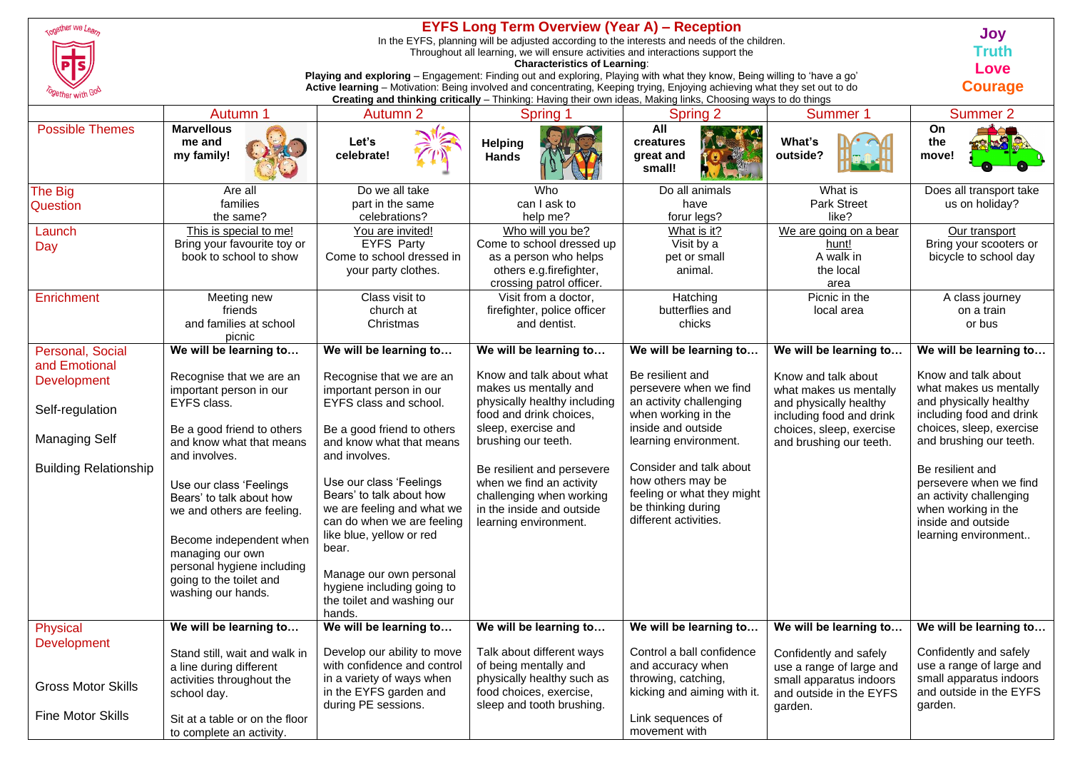| congether we Learn<br><i><b>Gether with <math>\emph{G}</math></b></i> | <b>EYFS Long Term Overview (Year A) - Reception</b><br>In the EYFS, planning will be adjusted according to the interests and needs of the children.<br>Throughout all learning, we will ensure activities and interactions support the<br><b>Characteristics of Learning:</b><br>Playing and exploring - Engagement: Finding out and exploring, Playing with what they know, Being willing to 'have a go'<br>Active learning - Motivation: Being involved and concentrating, Keeping trying, Enjoying achieving what they set out to do<br>Creating and thinking critically - Thinking: Having their own ideas, Making links, Choosing ways to do things |                                                                                                                                                      |                                                                                                                                          |                                                                                                                           |                                                    |                                                                                                                                            |  |
|-----------------------------------------------------------------------|----------------------------------------------------------------------------------------------------------------------------------------------------------------------------------------------------------------------------------------------------------------------------------------------------------------------------------------------------------------------------------------------------------------------------------------------------------------------------------------------------------------------------------------------------------------------------------------------------------------------------------------------------------|------------------------------------------------------------------------------------------------------------------------------------------------------|------------------------------------------------------------------------------------------------------------------------------------------|---------------------------------------------------------------------------------------------------------------------------|----------------------------------------------------|--------------------------------------------------------------------------------------------------------------------------------------------|--|
|                                                                       |                                                                                                                                                                                                                                                                                                                                                                                                                                                                                                                                                                                                                                                          |                                                                                                                                                      |                                                                                                                                          |                                                                                                                           |                                                    |                                                                                                                                            |  |
|                                                                       | Autumn 1                                                                                                                                                                                                                                                                                                                                                                                                                                                                                                                                                                                                                                                 | Autumn 2                                                                                                                                             | Spring                                                                                                                                   | Spring 2                                                                                                                  | <b>Summer 1</b>                                    | <b>Summer 2</b>                                                                                                                            |  |
| <b>Possible Themes</b>                                                | <b>Marvellous</b><br>me and<br>my family!                                                                                                                                                                                                                                                                                                                                                                                                                                                                                                                                                                                                                | Let's<br>celebrate!                                                                                                                                  | Helping<br>Hands                                                                                                                         | All<br>creatures<br>great and<br>small!                                                                                   | What's<br>outside?                                 | On<br>the<br>move!                                                                                                                         |  |
| The Big                                                               | Are all                                                                                                                                                                                                                                                                                                                                                                                                                                                                                                                                                                                                                                                  | Do we all take                                                                                                                                       | Who                                                                                                                                      | Do all animals                                                                                                            | What is                                            | Does all transport take                                                                                                                    |  |
| <b>Question</b>                                                       | families                                                                                                                                                                                                                                                                                                                                                                                                                                                                                                                                                                                                                                                 | part in the same                                                                                                                                     | can I ask to                                                                                                                             | have                                                                                                                      | <b>Park Street</b>                                 | us on holiday?                                                                                                                             |  |
|                                                                       | the same?                                                                                                                                                                                                                                                                                                                                                                                                                                                                                                                                                                                                                                                | celebrations?                                                                                                                                        | help me?                                                                                                                                 | forur legs?                                                                                                               | like?                                              |                                                                                                                                            |  |
| Launch                                                                | This is special to me!                                                                                                                                                                                                                                                                                                                                                                                                                                                                                                                                                                                                                                   | You are invited!                                                                                                                                     | Who will you be?                                                                                                                         | What is it?                                                                                                               | We are going on a bear                             | Our transport                                                                                                                              |  |
| Day                                                                   | Bring your favourite toy or                                                                                                                                                                                                                                                                                                                                                                                                                                                                                                                                                                                                                              | <b>EYFS Party</b>                                                                                                                                    | Come to school dressed up                                                                                                                | Visit by a                                                                                                                | hunt!                                              | Bring your scooters or                                                                                                                     |  |
|                                                                       | book to school to show                                                                                                                                                                                                                                                                                                                                                                                                                                                                                                                                                                                                                                   | Come to school dressed in                                                                                                                            | as a person who helps                                                                                                                    | pet or small                                                                                                              | A walk in                                          | bicycle to school day                                                                                                                      |  |
|                                                                       |                                                                                                                                                                                                                                                                                                                                                                                                                                                                                                                                                                                                                                                          | your party clothes.                                                                                                                                  | others e.g.firefighter,<br>crossing patrol officer.                                                                                      | animal.                                                                                                                   | the local<br>area                                  |                                                                                                                                            |  |
| Enrichment                                                            | Meeting new                                                                                                                                                                                                                                                                                                                                                                                                                                                                                                                                                                                                                                              | Class visit to                                                                                                                                       | Visit from a doctor,                                                                                                                     | Hatching                                                                                                                  | Picnic in the                                      | A class journey                                                                                                                            |  |
|                                                                       | friends                                                                                                                                                                                                                                                                                                                                                                                                                                                                                                                                                                                                                                                  | church at                                                                                                                                            | firefighter, police officer                                                                                                              | butterflies and                                                                                                           | local area                                         | on a train                                                                                                                                 |  |
|                                                                       | and families at school                                                                                                                                                                                                                                                                                                                                                                                                                                                                                                                                                                                                                                   | Christmas                                                                                                                                            | and dentist.                                                                                                                             | chicks                                                                                                                    |                                                    | or bus                                                                                                                                     |  |
|                                                                       | picnic                                                                                                                                                                                                                                                                                                                                                                                                                                                                                                                                                                                                                                                   |                                                                                                                                                      |                                                                                                                                          |                                                                                                                           |                                                    |                                                                                                                                            |  |
| Personal, Social                                                      | We will be learning to                                                                                                                                                                                                                                                                                                                                                                                                                                                                                                                                                                                                                                   | We will be learning to                                                                                                                               | We will be learning to                                                                                                                   | We will be learning to                                                                                                    | We will be learning to                             | We will be learning to                                                                                                                     |  |
| and Emotional                                                         |                                                                                                                                                                                                                                                                                                                                                                                                                                                                                                                                                                                                                                                          |                                                                                                                                                      |                                                                                                                                          |                                                                                                                           |                                                    |                                                                                                                                            |  |
| Development                                                           | Recognise that we are an                                                                                                                                                                                                                                                                                                                                                                                                                                                                                                                                                                                                                                 | Recognise that we are an                                                                                                                             | Know and talk about what<br>makes us mentally and                                                                                        | Be resilient and                                                                                                          | Know and talk about                                | Know and talk about                                                                                                                        |  |
|                                                                       | important person in our<br>EYFS class.                                                                                                                                                                                                                                                                                                                                                                                                                                                                                                                                                                                                                   | important person in our<br>EYFS class and school.                                                                                                    | physically healthy including                                                                                                             | persevere when we find<br>an activity challenging                                                                         | what makes us mentally                             | what makes us mentally<br>and physically healthy                                                                                           |  |
| Self-regulation                                                       |                                                                                                                                                                                                                                                                                                                                                                                                                                                                                                                                                                                                                                                          |                                                                                                                                                      | food and drink choices,                                                                                                                  | when working in the                                                                                                       | and physically healthy<br>including food and drink | including food and drink                                                                                                                   |  |
|                                                                       | Be a good friend to others                                                                                                                                                                                                                                                                                                                                                                                                                                                                                                                                                                                                                               | Be a good friend to others                                                                                                                           | sleep, exercise and                                                                                                                      | inside and outside                                                                                                        | choices, sleep, exercise                           | choices, sleep, exercise                                                                                                                   |  |
| <b>Managing Self</b>                                                  | and know what that means                                                                                                                                                                                                                                                                                                                                                                                                                                                                                                                                                                                                                                 | and know what that means                                                                                                                             | brushing our teeth.                                                                                                                      | learning environment.                                                                                                     | and brushing our teeth.                            | and brushing our teeth.                                                                                                                    |  |
|                                                                       | and involves.                                                                                                                                                                                                                                                                                                                                                                                                                                                                                                                                                                                                                                            | and involves.                                                                                                                                        |                                                                                                                                          |                                                                                                                           |                                                    |                                                                                                                                            |  |
| <b>Building Relationship</b>                                          | Use our class 'Feelings<br>Bears' to talk about how<br>we and others are feeling.<br>Become independent when<br>managing our own                                                                                                                                                                                                                                                                                                                                                                                                                                                                                                                         | Use our class 'Feelings<br>Bears' to talk about how<br>we are feeling and what we<br>can do when we are feeling<br>like blue, yellow or red<br>bear. | Be resilient and persevere<br>when we find an activity<br>challenging when working<br>in the inside and outside<br>learning environment. | Consider and talk about<br>how others may be<br>feeling or what they might<br>be thinking during<br>different activities. |                                                    | Be resilient and<br>persevere when we find<br>an activity challenging<br>when working in the<br>inside and outside<br>learning environment |  |
|                                                                       | personal hygiene including<br>going to the toilet and<br>washing our hands.                                                                                                                                                                                                                                                                                                                                                                                                                                                                                                                                                                              | Manage our own personal<br>hygiene including going to<br>the toilet and washing our<br>hands.                                                        |                                                                                                                                          |                                                                                                                           |                                                    |                                                                                                                                            |  |
| Physical                                                              | We will be learning to                                                                                                                                                                                                                                                                                                                                                                                                                                                                                                                                                                                                                                   | We will be learning to                                                                                                                               | We will be learning to                                                                                                                   | We will be learning to                                                                                                    | We will be learning to                             | We will be learning to                                                                                                                     |  |
| <b>Development</b>                                                    |                                                                                                                                                                                                                                                                                                                                                                                                                                                                                                                                                                                                                                                          | Develop our ability to move                                                                                                                          |                                                                                                                                          | Control a ball confidence                                                                                                 |                                                    | Confidently and safely                                                                                                                     |  |
|                                                                       | Stand still, wait and walk in<br>a line during different                                                                                                                                                                                                                                                                                                                                                                                                                                                                                                                                                                                                 | with confidence and control                                                                                                                          | Talk about different ways<br>of being mentally and                                                                                       | and accuracy when                                                                                                         | Confidently and safely<br>use a range of large and | use a range of large and                                                                                                                   |  |
|                                                                       | activities throughout the                                                                                                                                                                                                                                                                                                                                                                                                                                                                                                                                                                                                                                | in a variety of ways when                                                                                                                            | physically healthy such as                                                                                                               | throwing, catching,                                                                                                       | small apparatus indoors                            | small apparatus indoors                                                                                                                    |  |
| <b>Gross Motor Skills</b>                                             | school day.                                                                                                                                                                                                                                                                                                                                                                                                                                                                                                                                                                                                                                              | in the EYFS garden and                                                                                                                               | food choices, exercise,                                                                                                                  | kicking and aiming with it.                                                                                               | and outside in the EYFS                            | and outside in the EYFS                                                                                                                    |  |
|                                                                       |                                                                                                                                                                                                                                                                                                                                                                                                                                                                                                                                                                                                                                                          | during PE sessions.                                                                                                                                  | sleep and tooth brushing.                                                                                                                |                                                                                                                           | garden.                                            | garden.                                                                                                                                    |  |
| <b>Fine Motor Skills</b>                                              | Sit at a table or on the floor<br>to complete an activity.                                                                                                                                                                                                                                                                                                                                                                                                                                                                                                                                                                                               |                                                                                                                                                      |                                                                                                                                          | Link sequences of<br>movement with                                                                                        |                                                    |                                                                                                                                            |  |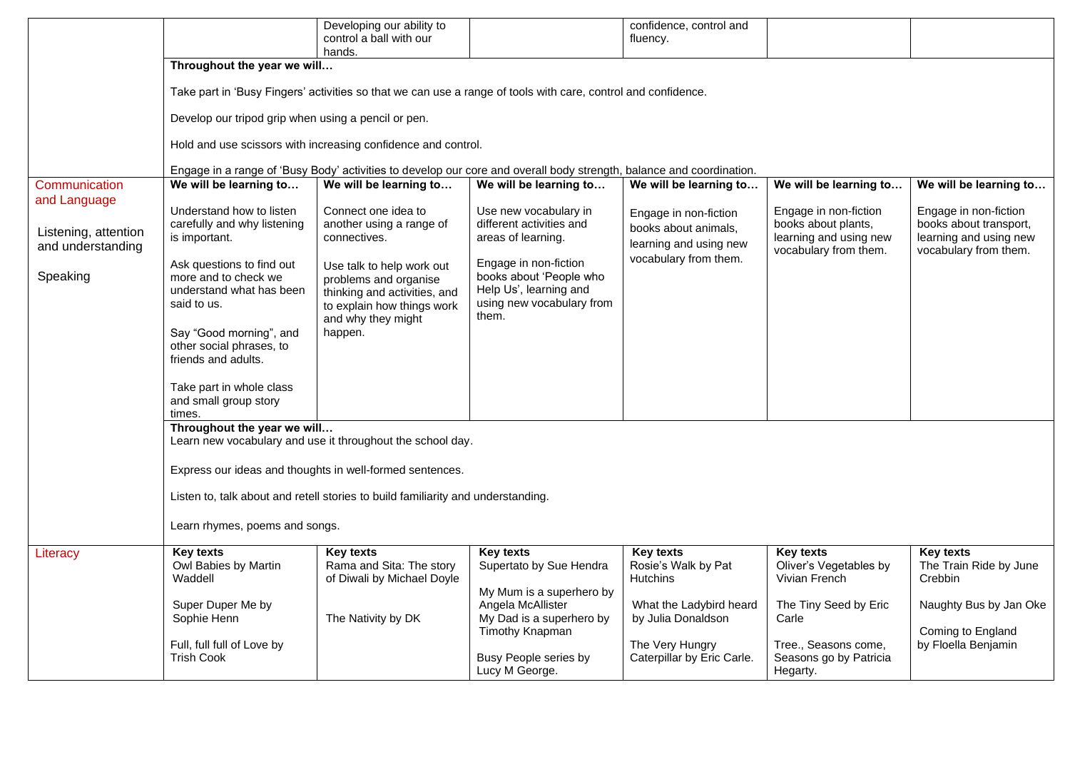|                      |                                                                                                                                                                                                                                              | Developing our ability to                                                                                     |                                                     | confidence, control and    |                        |                        |  |  |
|----------------------|----------------------------------------------------------------------------------------------------------------------------------------------------------------------------------------------------------------------------------------------|---------------------------------------------------------------------------------------------------------------|-----------------------------------------------------|----------------------------|------------------------|------------------------|--|--|
|                      |                                                                                                                                                                                                                                              | control a ball with our                                                                                       |                                                     | fluency.                   |                        |                        |  |  |
|                      |                                                                                                                                                                                                                                              | hands.                                                                                                        |                                                     |                            |                        |                        |  |  |
|                      | Throughout the year we will                                                                                                                                                                                                                  |                                                                                                               |                                                     |                            |                        |                        |  |  |
|                      |                                                                                                                                                                                                                                              |                                                                                                               |                                                     |                            |                        |                        |  |  |
|                      |                                                                                                                                                                                                                                              | Take part in 'Busy Fingers' activities so that we can use a range of tools with care, control and confidence. |                                                     |                            |                        |                        |  |  |
|                      | Develop our tripod grip when using a pencil or pen.<br>Hold and use scissors with increasing confidence and control.<br>Engage in a range of 'Busy Body' activities to develop our core and overall body strength, balance and coordination. |                                                                                                               |                                                     |                            |                        |                        |  |  |
|                      |                                                                                                                                                                                                                                              |                                                                                                               |                                                     |                            |                        |                        |  |  |
|                      |                                                                                                                                                                                                                                              |                                                                                                               |                                                     |                            |                        |                        |  |  |
|                      |                                                                                                                                                                                                                                              |                                                                                                               |                                                     |                            |                        |                        |  |  |
|                      | We will be learning to                                                                                                                                                                                                                       | We will be learning to                                                                                        | We will be learning to                              |                            | We will be learning to |                        |  |  |
| Communication        |                                                                                                                                                                                                                                              |                                                                                                               |                                                     | We will be learning to     |                        | We will be learning to |  |  |
| and Language         | Understand how to listen                                                                                                                                                                                                                     | Connect one idea to                                                                                           | Use new vocabulary in                               | Engage in non-fiction      | Engage in non-fiction  | Engage in non-fiction  |  |  |
|                      | carefully and why listening                                                                                                                                                                                                                  | another using a range of                                                                                      | different activities and                            | books about animals,       | books about plants,    | books about transport, |  |  |
| Listening, attention | is important.                                                                                                                                                                                                                                | connectives.                                                                                                  | areas of learning.                                  | learning and using new     | learning and using new | learning and using new |  |  |
| and understanding    |                                                                                                                                                                                                                                              |                                                                                                               |                                                     | vocabulary from them.      | vocabulary from them.  | vocabulary from them.  |  |  |
|                      | Ask questions to find out                                                                                                                                                                                                                    | Use talk to help work out                                                                                     | Engage in non-fiction                               |                            |                        |                        |  |  |
| Speaking             | more and to check we                                                                                                                                                                                                                         | problems and organise                                                                                         | books about 'People who                             |                            |                        |                        |  |  |
|                      | understand what has been                                                                                                                                                                                                                     | thinking and activities, and                                                                                  | Help Us', learning and<br>using new vocabulary from |                            |                        |                        |  |  |
|                      | said to us.                                                                                                                                                                                                                                  | to explain how things work                                                                                    | them.                                               |                            |                        |                        |  |  |
|                      | Say "Good morning", and                                                                                                                                                                                                                      | and why they might<br>happen.                                                                                 |                                                     |                            |                        |                        |  |  |
|                      | other social phrases, to                                                                                                                                                                                                                     |                                                                                                               |                                                     |                            |                        |                        |  |  |
|                      | friends and adults.                                                                                                                                                                                                                          |                                                                                                               |                                                     |                            |                        |                        |  |  |
|                      |                                                                                                                                                                                                                                              |                                                                                                               |                                                     |                            |                        |                        |  |  |
|                      | Take part in whole class                                                                                                                                                                                                                     |                                                                                                               |                                                     |                            |                        |                        |  |  |
|                      | and small group story                                                                                                                                                                                                                        |                                                                                                               |                                                     |                            |                        |                        |  |  |
|                      | times.                                                                                                                                                                                                                                       |                                                                                                               |                                                     |                            |                        |                        |  |  |
|                      | Throughout the year we will                                                                                                                                                                                                                  |                                                                                                               |                                                     |                            |                        |                        |  |  |
|                      |                                                                                                                                                                                                                                              | Learn new vocabulary and use it throughout the school day.                                                    |                                                     |                            |                        |                        |  |  |
|                      |                                                                                                                                                                                                                                              |                                                                                                               |                                                     |                            |                        |                        |  |  |
|                      |                                                                                                                                                                                                                                              | Express our ideas and thoughts in well-formed sentences.                                                      |                                                     |                            |                        |                        |  |  |
|                      |                                                                                                                                                                                                                                              | Listen to, talk about and retell stories to build familiarity and understanding.                              |                                                     |                            |                        |                        |  |  |
|                      |                                                                                                                                                                                                                                              |                                                                                                               |                                                     |                            |                        |                        |  |  |
|                      | Learn rhymes, poems and songs.                                                                                                                                                                                                               |                                                                                                               |                                                     |                            |                        |                        |  |  |
|                      |                                                                                                                                                                                                                                              |                                                                                                               |                                                     |                            |                        |                        |  |  |
| Literacy             | <b>Key texts</b>                                                                                                                                                                                                                             | <b>Key texts</b>                                                                                              | <b>Key texts</b>                                    | <b>Key texts</b>           | <b>Key texts</b>       | <b>Key texts</b>       |  |  |
|                      | Owl Babies by Martin                                                                                                                                                                                                                         | Rama and Sita: The story                                                                                      | Supertato by Sue Hendra                             | Rosie's Walk by Pat        | Oliver's Vegetables by | The Train Ride by June |  |  |
|                      | Waddell                                                                                                                                                                                                                                      | of Diwali by Michael Doyle                                                                                    | My Mum is a superhero by                            | <b>Hutchins</b>            | Vivian French          | Crebbin                |  |  |
|                      | Super Duper Me by                                                                                                                                                                                                                            |                                                                                                               | Angela McAllister                                   | What the Ladybird heard    | The Tiny Seed by Eric  | Naughty Bus by Jan Oke |  |  |
|                      | Sophie Henn                                                                                                                                                                                                                                  | The Nativity by DK                                                                                            | My Dad is a superhero by                            | by Julia Donaldson         | Carle                  |                        |  |  |
|                      |                                                                                                                                                                                                                                              |                                                                                                               | Timothy Knapman                                     |                            |                        | Coming to England      |  |  |
|                      | Full, full full of Love by                                                                                                                                                                                                                   |                                                                                                               |                                                     | The Very Hungry            | Tree., Seasons come,   | by Floella Benjamin    |  |  |
|                      | <b>Trish Cook</b>                                                                                                                                                                                                                            |                                                                                                               | Busy People series by                               | Caterpillar by Eric Carle. | Seasons go by Patricia |                        |  |  |
|                      |                                                                                                                                                                                                                                              |                                                                                                               | Lucy M George.                                      |                            | Hegarty.               |                        |  |  |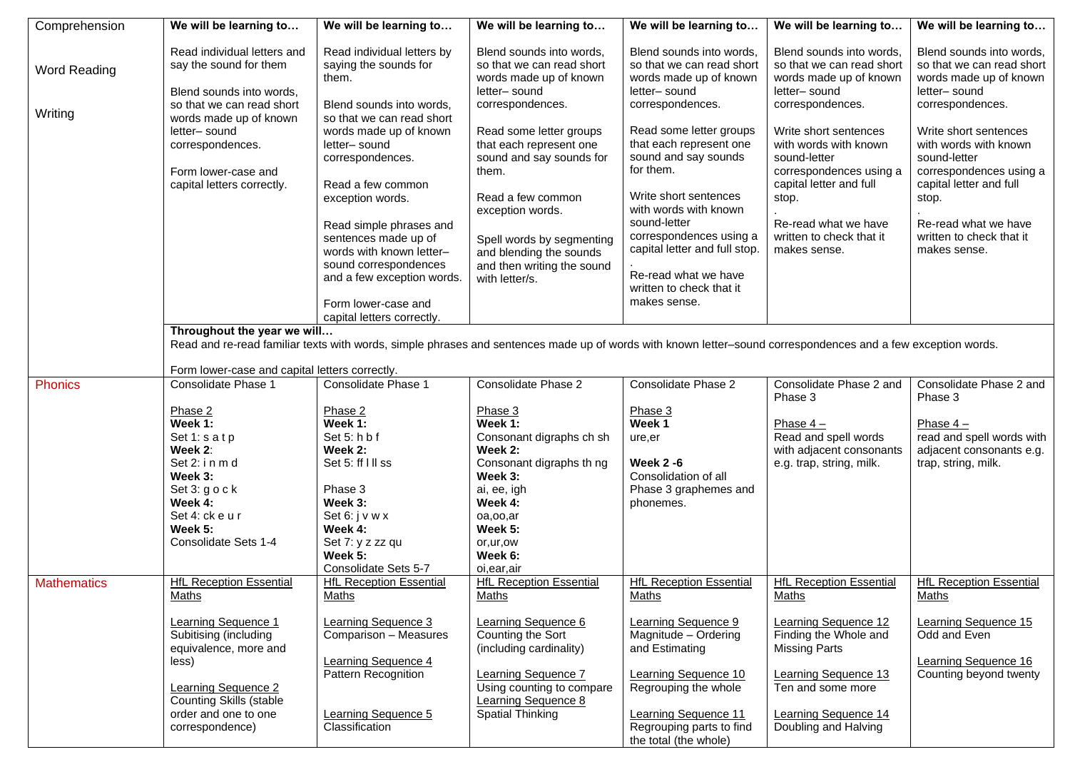| Comprehension                  | We will be learning to                                                                                                                                                                                   | We will be learning to                                                                                                                                                                                                                                                                                                      | We will be learning to                                                                                                                                                                                                                   | We will be learning to                                                                                                                                                                                                                                                                    | We will be learning to                                                                                                                                                                            | We will be learning to                                                                                                                                                                            |
|--------------------------------|----------------------------------------------------------------------------------------------------------------------------------------------------------------------------------------------------------|-----------------------------------------------------------------------------------------------------------------------------------------------------------------------------------------------------------------------------------------------------------------------------------------------------------------------------|------------------------------------------------------------------------------------------------------------------------------------------------------------------------------------------------------------------------------------------|-------------------------------------------------------------------------------------------------------------------------------------------------------------------------------------------------------------------------------------------------------------------------------------------|---------------------------------------------------------------------------------------------------------------------------------------------------------------------------------------------------|---------------------------------------------------------------------------------------------------------------------------------------------------------------------------------------------------|
| <b>Word Reading</b><br>Writing | Read individual letters and<br>say the sound for them<br>Blend sounds into words,<br>so that we can read short                                                                                           | Read individual letters by<br>saying the sounds for<br>them.<br>Blend sounds into words,                                                                                                                                                                                                                                    | Blend sounds into words,<br>so that we can read short<br>words made up of known<br>letter-sound<br>correspondences.                                                                                                                      | Blend sounds into words,<br>so that we can read short<br>words made up of known<br>letter-sound<br>correspondences.                                                                                                                                                                       | Blend sounds into words,<br>so that we can read short<br>words made up of known<br>letter-sound<br>correspondences.                                                                               | Blend sounds into words,<br>so that we can read short<br>words made up of known<br>letter-sound<br>correspondences.                                                                               |
|                                | words made up of known<br>letter-sound<br>correspondences.<br>Form lower-case and<br>capital letters correctly.                                                                                          | so that we can read short<br>words made up of known<br>letter-sound<br>correspondences.<br>Read a few common<br>exception words.<br>Read simple phrases and<br>sentences made up of<br>words with known letter-<br>sound correspondences<br>and a few exception words.<br>Form lower-case and<br>capital letters correctly. | Read some letter groups<br>that each represent one<br>sound and say sounds for<br>them.<br>Read a few common<br>exception words.<br>Spell words by segmenting<br>and blending the sounds<br>and then writing the sound<br>with letter/s. | Read some letter groups<br>that each represent one<br>sound and say sounds<br>for them.<br>Write short sentences<br>with words with known<br>sound-letter<br>correspondences using a<br>capital letter and full stop.<br>Re-read what we have<br>written to check that it<br>makes sense. | Write short sentences<br>with words with known<br>sound-letter<br>correspondences using a<br>capital letter and full<br>stop.<br>Re-read what we have<br>written to check that it<br>makes sense. | Write short sentences<br>with words with known<br>sound-letter<br>correspondences using a<br>capital letter and full<br>stop.<br>Re-read what we have<br>written to check that it<br>makes sense. |
|                                | Throughout the year we will<br>Form lower-case and capital letters correctly.                                                                                                                            |                                                                                                                                                                                                                                                                                                                             | Read and re-read familiar texts with words, simple phrases and sentences made up of words with known letter-sound correspondences and a few exception words.                                                                             |                                                                                                                                                                                                                                                                                           |                                                                                                                                                                                                   |                                                                                                                                                                                                   |
| <b>Phonics</b>                 | Consolidate Phase 1                                                                                                                                                                                      | Consolidate Phase 1                                                                                                                                                                                                                                                                                                         | Consolidate Phase 2                                                                                                                                                                                                                      | <b>Consolidate Phase 2</b>                                                                                                                                                                                                                                                                | Consolidate Phase 2 and<br>Phase 3                                                                                                                                                                | Consolidate Phase 2 and<br>Phase 3                                                                                                                                                                |
| <b>Mathematics</b>             | Phase 2<br>Week 1:<br>Set $1: s a t p$<br>Week 2:<br>Set 2: in m d<br>Week 3:<br>Set $3: q \circ c$ k<br>Week 4:<br>Set 4: ck e u r<br>Week 5:<br>Consolidate Sets 1-4<br><b>HfL Reception Essential</b> | Phase 2<br>Week 1:<br>Set 5: h b f<br>Week 2:<br>Set 5: ff I II ss<br>Phase 3<br>Week 3:<br>Set 6: j v w x<br>Week 4:<br>Set 7: y z zz qu<br>Week 5:<br>Consolidate Sets 5-7<br><b>HfL Reception Essential</b>                                                                                                              | Phase 3<br>Week 1:<br>Consonant digraphs ch sh<br>Week 2:<br>Consonant digraphs th ng<br>Week 3:<br>ai, ee, igh<br>Week 4:<br>oa,oo,ar<br>Week 5:<br>or, ur, ow<br>Week 6:<br>oi,ear,air<br><b>HfL Reception Essential</b>               | Phase 3<br>Week 1<br>ure,er<br><b>Week 2 -6</b><br>Consolidation of all<br>Phase 3 graphemes and<br>phonemes.<br><b>HfL Reception Essential</b>                                                                                                                                           | Phase $4 -$<br>Read and spell words<br>with adjacent consonants<br>e.g. trap, string, milk.<br><b>HfL Reception Essential</b>                                                                     | Phase $4 -$<br>read and spell words with<br>adjacent consonants e.g.<br>trap, string, milk.<br><b>HfL Reception Essential</b>                                                                     |
|                                | Maths                                                                                                                                                                                                    | Maths                                                                                                                                                                                                                                                                                                                       | Maths                                                                                                                                                                                                                                    | Maths                                                                                                                                                                                                                                                                                     | Maths                                                                                                                                                                                             | Maths                                                                                                                                                                                             |
|                                | Learning Sequence 1<br>Subitising (including<br>equivalence, more and<br>less)                                                                                                                           | Learning Sequence 3<br>Comparison - Measures<br><b>Learning Sequence 4</b><br>Pattern Recognition                                                                                                                                                                                                                           | Learning Sequence 6<br>Counting the Sort<br>(including cardinality)<br>Learning Sequence 7                                                                                                                                               | Learning Sequence 9<br>Magnitude - Ordering<br>and Estimating<br><b>Learning Sequence 10</b>                                                                                                                                                                                              | Learning Sequence 12<br>Finding the Whole and<br><b>Missing Parts</b><br><b>Learning Sequence 13</b>                                                                                              | Learning Sequence 15<br>Odd and Even<br><b>Learning Sequence 16</b><br>Counting beyond twenty                                                                                                     |
|                                | Learning Sequence 2<br><b>Counting Skills (stable</b><br>order and one to one<br>correspondence)                                                                                                         | Learning Sequence 5<br>Classification                                                                                                                                                                                                                                                                                       | Using counting to compare<br><b>Learning Sequence 8</b><br>Spatial Thinking                                                                                                                                                              | Regrouping the whole<br><b>Learning Sequence 11</b><br>Regrouping parts to find<br>the total (the whole)                                                                                                                                                                                  | Ten and some more<br><b>Learning Sequence 14</b><br>Doubling and Halving                                                                                                                          |                                                                                                                                                                                                   |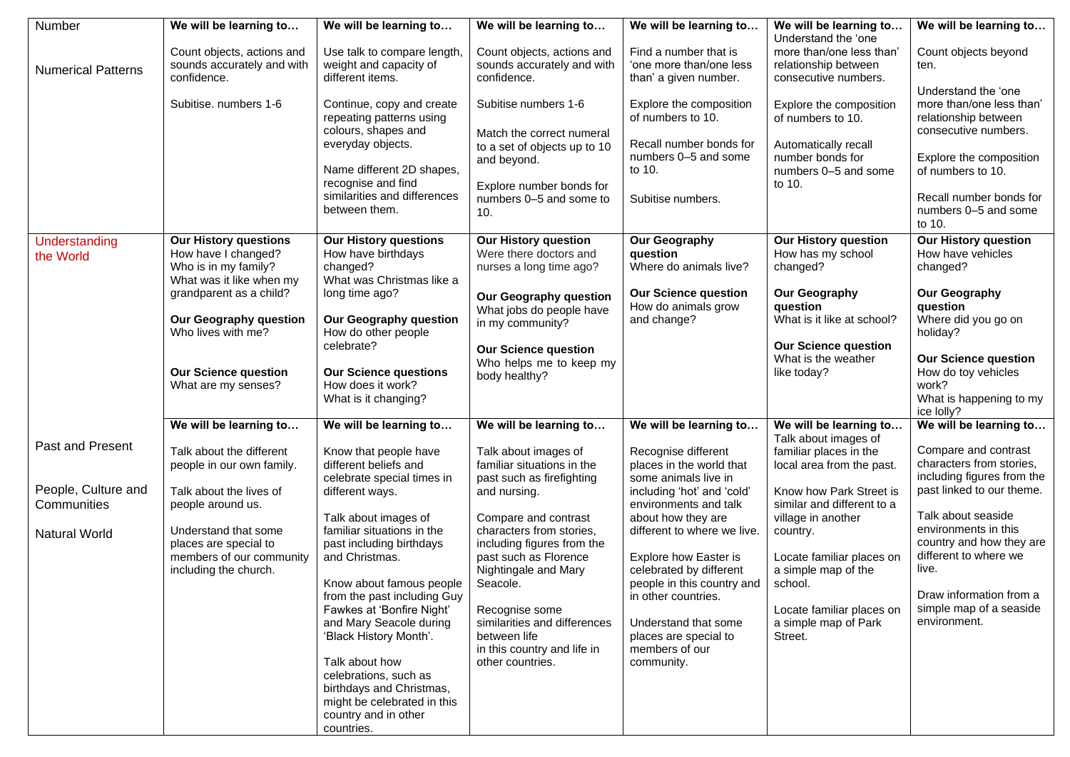| Number                             | We will be learning to                                                                                  | We will be learning to                                                                                                                   | We will be learning to                                                                                                          | We will be learning to                                                                                | We will be learning to                                                                          | We will be learning to                                                                                   |
|------------------------------------|---------------------------------------------------------------------------------------------------------|------------------------------------------------------------------------------------------------------------------------------------------|---------------------------------------------------------------------------------------------------------------------------------|-------------------------------------------------------------------------------------------------------|-------------------------------------------------------------------------------------------------|----------------------------------------------------------------------------------------------------------|
| <b>Numerical Patterns</b>          | Count objects, actions and<br>sounds accurately and with<br>confidence.                                 | Use talk to compare length,<br>weight and capacity of<br>different items.                                                                | Count objects, actions and<br>sounds accurately and with<br>confidence.                                                         | Find a number that is<br>'one more than/one less<br>than' a given number.                             | Understand the 'one<br>more than/one less than'<br>relationship between<br>consecutive numbers. | Count objects beyond<br>ten.                                                                             |
|                                    | Subitise, numbers 1-6                                                                                   | Continue, copy and create<br>repeating patterns using<br>colours, shapes and<br>everyday objects.                                        | Subitise numbers 1-6<br>Match the correct numeral                                                                               | Explore the composition<br>of numbers to 10.<br>Recall number bonds for                               | Explore the composition<br>of numbers to 10.                                                    | Understand the 'one<br>more than/one less than'<br>relationship between<br>consecutive numbers.          |
|                                    |                                                                                                         | Name different 2D shapes,                                                                                                                | to a set of objects up to 10<br>and beyond.                                                                                     | numbers 0-5 and some<br>to 10.                                                                        | Automatically recall<br>number bonds for<br>numbers 0-5 and some                                | Explore the composition<br>of numbers to 10.                                                             |
|                                    |                                                                                                         | recognise and find<br>similarities and differences<br>between them.                                                                      | Explore number bonds for<br>numbers 0-5 and some to<br>10.                                                                      | Subitise numbers.                                                                                     | to 10.                                                                                          | Recall number bonds for<br>numbers 0-5 and some<br>to 10.                                                |
| Understanding<br>the World         | <b>Our History questions</b><br>How have I changed?<br>Who is in my family?<br>What was it like when my | <b>Our History questions</b><br>How have birthdays<br>changed?<br>What was Christmas like a                                              | <b>Our History question</b><br>Were there doctors and<br>nurses a long time ago?                                                | <b>Our Geography</b><br>question<br>Where do animals live?                                            | <b>Our History question</b><br>How has my school<br>changed?                                    | <b>Our History question</b><br>How have vehicles<br>changed?                                             |
|                                    | grandparent as a child?<br><b>Our Geography question</b><br>Who lives with me?                          | long time ago?<br><b>Our Geography question</b><br>How do other people                                                                   | Our Geography question<br>What jobs do people have<br>in my community?                                                          | <b>Our Science question</b><br>How do animals grow<br>and change?                                     | <b>Our Geography</b><br>question<br>What is it like at school?                                  | <b>Our Geography</b><br>question<br>Where did you go on<br>holiday?                                      |
|                                    | <b>Our Science question</b><br>What are my senses?                                                      | celebrate?<br><b>Our Science questions</b><br>How does it work?<br>What is it changing?                                                  | <b>Our Science question</b><br>Who helps me to keep my<br>body healthy?                                                         |                                                                                                       | <b>Our Science question</b><br>What is the weather<br>like today?                               | <b>Our Science question</b><br>How do toy vehicles<br>work?<br>What is happening to my<br>ice lolly?     |
|                                    | We will be learning to                                                                                  | We will be learning to                                                                                                                   | We will be learning to                                                                                                          | We will be learning to                                                                                | We will be learning to<br>Talk about images of                                                  | We will be learning to                                                                                   |
| Past and Present                   | Talk about the different<br>people in our own family.                                                   | Know that people have<br>different beliefs and<br>celebrate special times in                                                             | Talk about images of<br>familiar situations in the<br>past such as firefighting                                                 | Recognise different<br>places in the world that<br>some animals live in                               | familiar places in the<br>local area from the past.                                             | Compare and contrast<br>characters from stories,<br>including figures from the                           |
| People, Culture and<br>Communities | Talk about the lives of<br>people around us.                                                            | different ways.                                                                                                                          | and nursing.                                                                                                                    | including 'hot' and 'cold'<br>environments and talk                                                   | Know how Park Street is<br>similar and different to a                                           | past linked to our theme.                                                                                |
| Natural World                      | Understand that some<br>places are special to<br>members of our community<br>including the church.      | Talk about images of<br>familiar situations in the<br>past including birthdays<br>and Christmas.                                         | Compare and contrast<br>characters from stories,<br>including figures from the<br>past such as Florence<br>Nightingale and Mary | about how they are<br>different to where we live.<br>Explore how Easter is<br>celebrated by different | village in another<br>country.<br>Locate familiar places on<br>a simple map of the              | Talk about seaside<br>environments in this<br>country and how they are<br>different to where we<br>live. |
|                                    |                                                                                                         | Know about famous people<br>from the past including Guy                                                                                  | Seacole.                                                                                                                        | people in this country and<br>in other countries.                                                     | school.                                                                                         | Draw information from a                                                                                  |
|                                    |                                                                                                         | Fawkes at 'Bonfire Night'<br>and Mary Seacole during<br>'Black History Month'.                                                           | Recognise some<br>similarities and differences<br>between life<br>in this country and life in                                   | Understand that some<br>places are special to<br>members of our                                       | Locate familiar places on<br>a simple map of Park<br>Street.                                    | simple map of a seaside<br>environment.                                                                  |
|                                    |                                                                                                         | Talk about how<br>celebrations, such as<br>birthdays and Christmas,<br>might be celebrated in this<br>country and in other<br>countries. | other countries.                                                                                                                | community.                                                                                            |                                                                                                 |                                                                                                          |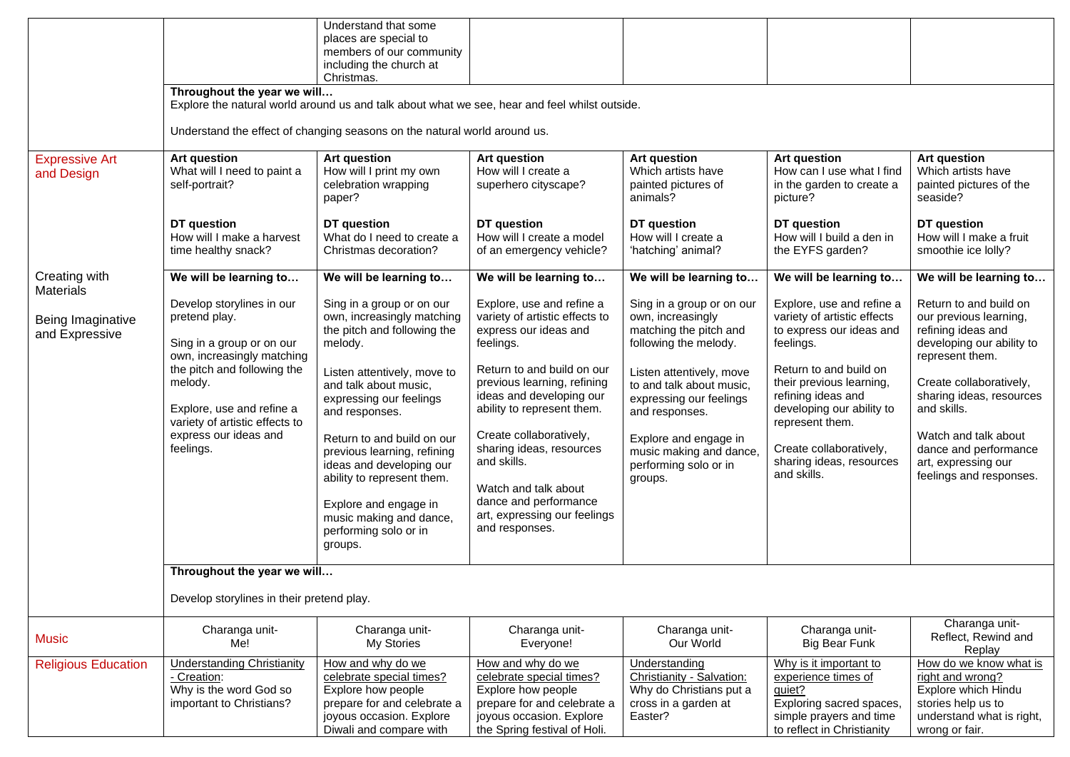|                            |                                                                                               | Understand that some<br>places are special to             |                                                         |                                                      |                                                          |                                                  |  |  |
|----------------------------|-----------------------------------------------------------------------------------------------|-----------------------------------------------------------|---------------------------------------------------------|------------------------------------------------------|----------------------------------------------------------|--------------------------------------------------|--|--|
|                            |                                                                                               | members of our community                                  |                                                         |                                                      |                                                          |                                                  |  |  |
|                            |                                                                                               | including the church at                                   |                                                         |                                                      |                                                          |                                                  |  |  |
|                            | Christmas.<br>Throughout the year we will                                                     |                                                           |                                                         |                                                      |                                                          |                                                  |  |  |
|                            | Explore the natural world around us and talk about what we see, hear and feel whilst outside. |                                                           |                                                         |                                                      |                                                          |                                                  |  |  |
|                            |                                                                                               |                                                           |                                                         |                                                      |                                                          |                                                  |  |  |
|                            | Understand the effect of changing seasons on the natural world around us.                     |                                                           |                                                         |                                                      |                                                          |                                                  |  |  |
| <b>Expressive Art</b>      | Art question                                                                                  | <b>Art question</b>                                       | <b>Art question</b>                                     | <b>Art question</b>                                  | <b>Art question</b>                                      | Art question                                     |  |  |
| and Design                 | What will I need to paint a<br>self-portrait?                                                 | How will I print my own<br>celebration wrapping           | How will I create a<br>superhero cityscape?             | Which artists have<br>painted pictures of            | How can I use what I find<br>in the garden to create a   | Which artists have<br>painted pictures of the    |  |  |
|                            |                                                                                               | paper?                                                    |                                                         | animals?                                             | picture?                                                 | seaside?                                         |  |  |
|                            |                                                                                               |                                                           |                                                         |                                                      |                                                          |                                                  |  |  |
|                            | DT question<br>How will I make a harvest                                                      | DT question<br>What do I need to create a                 | DT question<br>How will I create a model                | DT question<br>How will I create a                   | DT question<br>How will I build a den in                 | DT question<br>How will I make a fruit           |  |  |
|                            | time healthy snack?                                                                           | Christmas decoration?                                     | of an emergency vehicle?                                | 'hatching' animal?                                   | the EYFS garden?                                         | smoothie ice lolly?                              |  |  |
| Creating with              | We will be learning to                                                                        | We will be learning to                                    | We will be learning to                                  | We will be learning to                               | We will be learning to                                   | We will be learning to                           |  |  |
| <b>Materials</b>           |                                                                                               |                                                           |                                                         |                                                      |                                                          |                                                  |  |  |
|                            | Develop storylines in our                                                                     | Sing in a group or on our                                 | Explore, use and refine a                               | Sing in a group or on our                            | Explore, use and refine a<br>variety of artistic effects | Return to and build on<br>our previous learning, |  |  |
| Being Imaginative          | pretend play.                                                                                 | own, increasingly matching<br>the pitch and following the | variety of artistic effects to<br>express our ideas and | own, increasingly<br>matching the pitch and          | to express our ideas and                                 | refining ideas and                               |  |  |
| and Expressive             | Sing in a group or on our                                                                     | melody.                                                   | feelings.                                               | following the melody.                                | feelings.                                                | developing our ability to                        |  |  |
|                            | own, increasingly matching<br>the pitch and following the                                     |                                                           | Return to and build on our                              |                                                      | Return to and build on                                   | represent them.                                  |  |  |
|                            | melody.                                                                                       | Listen attentively, move to<br>and talk about music,      | previous learning, refining                             | Listen attentively, move<br>to and talk about music, | their previous learning,                                 | Create collaboratively,                          |  |  |
|                            |                                                                                               | expressing our feelings                                   | ideas and developing our                                | expressing our feelings                              | refining ideas and                                       | sharing ideas, resources                         |  |  |
|                            | Explore, use and refine a<br>variety of artistic effects to                                   | and responses.                                            | ability to represent them.                              | and responses.                                       | developing our ability to<br>represent them.             | and skills.                                      |  |  |
|                            | express our ideas and                                                                         | Return to and build on our                                | Create collaboratively,                                 | Explore and engage in                                |                                                          | Watch and talk about                             |  |  |
|                            | feelings.                                                                                     | previous learning, refining                               | sharing ideas, resources                                | music making and dance,                              | Create collaboratively,                                  | dance and performance                            |  |  |
|                            |                                                                                               | ideas and developing our                                  | and skills.                                             | performing solo or in                                | sharing ideas, resources<br>and skills.                  | art, expressing our                              |  |  |
|                            |                                                                                               | ability to represent them.                                | Watch and talk about                                    | groups.                                              |                                                          | feelings and responses.                          |  |  |
|                            |                                                                                               | Explore and engage in                                     | dance and performance                                   |                                                      |                                                          |                                                  |  |  |
|                            |                                                                                               | music making and dance,                                   | art, expressing our feelings                            |                                                      |                                                          |                                                  |  |  |
|                            |                                                                                               | performing solo or in                                     | and responses.                                          |                                                      |                                                          |                                                  |  |  |
|                            |                                                                                               | groups.                                                   |                                                         |                                                      |                                                          |                                                  |  |  |
|                            | Throughout the year we will                                                                   |                                                           |                                                         |                                                      |                                                          |                                                  |  |  |
|                            | Develop storylines in their pretend play.                                                     |                                                           |                                                         |                                                      |                                                          |                                                  |  |  |
|                            | Charanga unit-                                                                                | Charanga unit-                                            | Charanga unit-                                          | Charanga unit-                                       | Charanga unit-                                           | Charanga unit-                                   |  |  |
| <b>Music</b>               | Me!                                                                                           | My Stories                                                | Everyone!                                               | Our World                                            | <b>Big Bear Funk</b>                                     | Reflect, Rewind and<br>Replay                    |  |  |
| <b>Religious Education</b> | <b>Understanding Christianity</b>                                                             | How and why do we                                         | How and why do we                                       | Understanding                                        | Why is it important to                                   | How do we know what is                           |  |  |
|                            | - Creation:<br>Why is the word God so                                                         | celebrate special times?<br>Explore how people            | celebrate special times?<br>Explore how people          | Christianity - Salvation:<br>Why do Christians put a | experience times of<br>quiet?                            | right and wrong?<br>Explore which Hindu          |  |  |
|                            | important to Christians?                                                                      | prepare for and celebrate a                               | prepare for and celebrate a                             | cross in a garden at                                 | Exploring sacred spaces,                                 | stories help us to                               |  |  |
|                            |                                                                                               | joyous occasion. Explore                                  | joyous occasion. Explore                                | Easter?                                              | simple prayers and time                                  | understand what is right,                        |  |  |
|                            |                                                                                               | Diwali and compare with                                   | the Spring festival of Holi.                            |                                                      | to reflect in Christianity                               | wrong or fair.                                   |  |  |